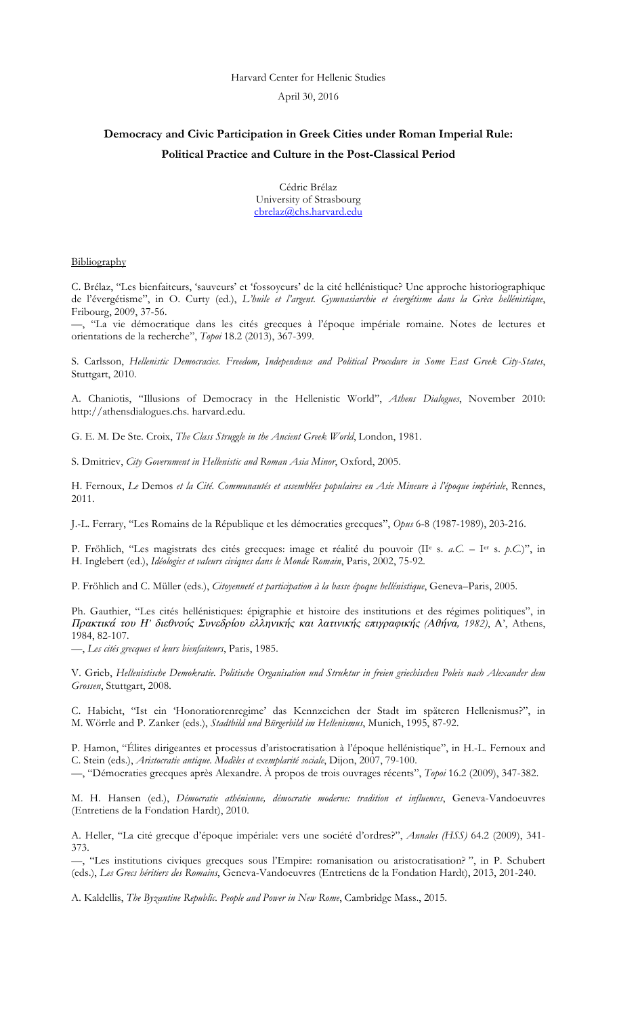#### Harvard Center for Hellenic Studies

# April 30, 2016

# **Democracy and Civic Participation in Greek Cities under Roman Imperial Rule: Political Practice and Culture in the Post-Classical Period**

Cédric Brélaz University of Strasbourg cbrelaz@chs.harvard.edu

Bibliography

C. Brélaz, "Les bienfaiteurs, 'sauveurs' et 'fossoyeurs' de la cité hellénistique? Une approche historiographique de l'évergétisme", in O. Curty (ed.), *L'huile et l'argent. Gymnasiarchie et évergétisme dans la Grèce hellénistique*, Fribourg, 2009, 37-56.

—, "La vie démocratique dans les cités grecques à l'époque impériale romaine. Notes de lectures et orientations de la recherche", *Topoi* 18.2 (2013), 367-399.

S. Carlsson, *Hellenistic Democracies. Freedom, Independence and Political Procedure in Some East Greek City-States*, Stuttgart, 2010.

A. Chaniotis, "Illusions of Democracy in the Hellenistic World", *Athens Dialogues*, November 2010: http://athensdialogues.chs. harvard.edu.

G. E. M. De Ste. Croix, *The Class Struggle in the Ancient Greek World*, London, 1981.

S. Dmitriev, *City Government in Hellenistic and Roman Asia Minor*, Oxford, 2005.

H. Fernoux, *Le* Demos *et la Cité. Communautés et assemblées populaires en Asie Mineure à l'époque impériale*, Rennes, 2011.

J.-L. Ferrary, "Les Romains de la République et les démocraties grecques", *Opus* 6-8 (1987-1989), 203-216.

P. Fröhlich, "Les magistrats des cités grecques: image et réalité du pouvoir (IIe s. *a.C.* – Ier s. *p.C.*)", in H. Inglebert (ed.), *Idéologies et valeurs civiques dans le Monde Romain*, Paris, 2002, 75-92.

P. Fröhlich and C. Müller (eds.), *Citoyenneté et participation à la basse époque hellénistique*, Geneva–Paris, 2005.

Ph. Gauthier, "Les cités hellénistiques: épigraphie et histoire des institutions et des régimes politiques", in Πρακτικά του <sup>Η</sup>*'* διεθνούς Συνεδρίου ελληνικής και λατινικής επιγραφικής *(*Αθήνα*, 1982)*, Α', Athens, 1984, 82-107.

—, *Les cités grecques et leurs bienfaiteurs*, Paris, 1985.

V. Grieb, *Hellenistische Demokratie. Politische Organisation und Struktur in freien griechischen Poleis nach Alexander dem Grossen*, Stuttgart, 2008.

C. Habicht, "Ist ein 'Honoratiorenregime' das Kennzeichen der Stadt im späteren Hellenismus?", in M. Wörrle and P. Zanker (eds.), *Stadtbild und Bürgerbild im Hellenismus*, Munich, 1995, 87-92.

P. Hamon, "Élites dirigeantes et processus d'aristocratisation à l'époque hellénistique", in H.-L. Fernoux and C. Stein (eds.), *Aristocratie antique. Modèles et exemplarité sociale*, Dijon, 2007, 79-100.

—, "Démocraties grecques après Alexandre. À propos de trois ouvrages récents", *Topoi* 16.2 (2009), 347-382.

M. H. Hansen (ed.), *Démocratie athénienne, démocratie moderne: tradition et influences*, Geneva-Vandoeuvres (Entretiens de la Fondation Hardt), 2010.

A. Heller, "La cité grecque d'époque impériale: vers une société d'ordres?", *Annales (HSS)* 64.2 (2009), 341- 373.

—, "Les institutions civiques grecques sous l'Empire: romanisation ou aristocratisation? ", in P. Schubert (eds.), *Les Grecs héritiers des Romains*, Geneva-Vandoeuvres (Entretiens de la Fondation Hardt), 2013, 201-240.

A. Kaldellis, *The Byzantine Republic. People and Power in New Rome*, Cambridge Mass., 2015.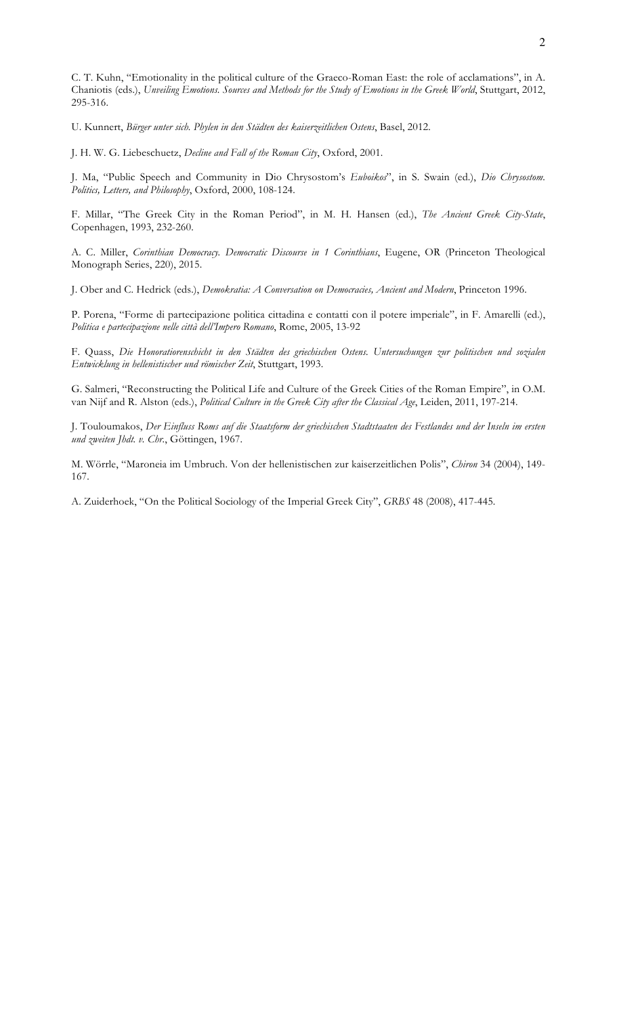C. T. Kuhn, "Emotionality in the political culture of the Graeco-Roman East: the role of acclamations", in A. Chaniotis (eds.), *Unveiling Emotions. Sources and Methods for the Study of Emotions in the Greek World*, Stuttgart, 2012, 295-316.

U. Kunnert, *Bürger unter sich. Phylen in den Städten des kaiserzeitlichen Ostens*, Basel, 2012.

J. H. W. G. Liebeschuetz, *Decline and Fall of the Roman City*, Oxford, 2001.

J. Ma, "Public Speech and Community in Dio Chrysostom's *Euboikos*", in S. Swain (ed.), *Dio Chrysostom. Politics, Letters, and Philosophy*, Oxford, 2000, 108-124.

F. Millar, "The Greek City in the Roman Period", in M. H. Hansen (ed.), *The Ancient Greek City-State*, Copenhagen, 1993, 232-260.

A. C. Miller, *Corinthian Democracy. Democratic Discourse in 1 Corinthians*, Eugene, OR (Princeton Theological Monograph Series, 220), 2015.

J. Ober and C. Hedrick (eds.), *Demokratia: A Conversation on Democracies, Ancient and Modern*, Princeton 1996.

P. Porena, "Forme di partecipazione politica cittadina e contatti con il potere imperiale", in F. Amarelli (ed.), *Politica e partecipazione nelle città dell'Impero Romano*, Rome, 2005, 13-92

F. Quass, *Die Honoratiorenschicht in den Städten des griechischen Ostens. Untersuchungen zur politischen und sozialen Entwicklung in hellenistischer und römischer Zeit*, Stuttgart, 1993.

G. Salmeri, "Reconstructing the Political Life and Culture of the Greek Cities of the Roman Empire", in O.M. van Nijf and R. Alston (eds.), *Political Culture in the Greek City after the Classical Age*, Leiden, 2011, 197-214.

J. Touloumakos, *Der Einfluss Roms auf die Staatsform der griechischen Stadtstaaten des Festlandes und der Inseln im ersten und zweiten Jhdt. v. Chr.*, Göttingen, 1967.

M. Wörrle, "Maroneia im Umbruch. Von der hellenistischen zur kaiserzeitlichen Polis", *Chiron* 34 (2004), 149- 167.

A. Zuiderhoek, "On the Political Sociology of the Imperial Greek City", *GRBS* 48 (2008), 417-445.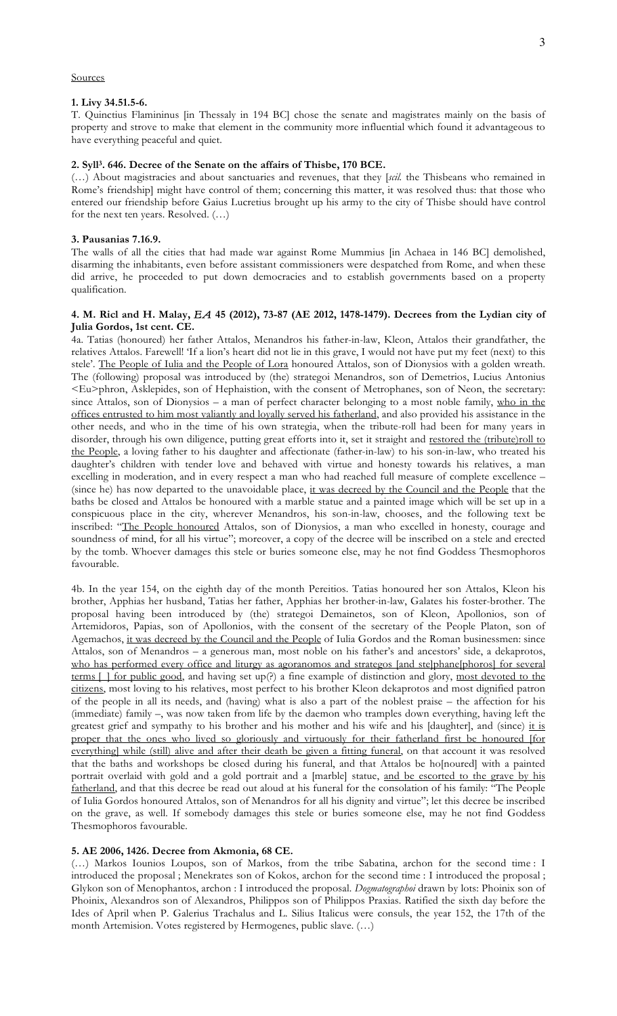#### Sources

#### **1. Livy 34.51.5-6.**

T. Quinctius Flamininus [in Thessaly in 194 BC] chose the senate and magistrates mainly on the basis of property and strove to make that element in the community more influential which found it advantageous to have everything peaceful and quiet.

#### **2. Syll3. 646. Decree of the Senate on the affairs of Thisbe, 170 BCE.**

(…) About magistracies and about sanctuaries and revenues, that they [*scil.* the Thisbeans who remained in Rome's friendship] might have control of them; concerning this matter, it was resolved thus: that those who entered our friendship before Gaius Lucretius brought up his army to the city of Thisbe should have control for the next ten years. Resolved. (…)

#### **3. Pausanias 7.16.9.**

The walls of all the cities that had made war against Rome Mummius [in Achaea in 146 BC] demolished, disarming the inhabitants, even before assistant commissioners were despatched from Rome, and when these did arrive, he proceeded to put down democracies and to establish governments based on a property qualification.

#### **4. M. Ricl and H. Malay,** *EA* **45 (2012), 73-87 (AE 2012, 1478-1479). Decrees from the Lydian city of Julia Gordos, 1st cent. CE.**

4a. Tatias (honoured) her father Attalos, Menandros his father-in-law, Kleon, Attalos their grandfather, the relatives Attalos. Farewell! 'If a lion's heart did not lie in this grave, I would not have put my feet (next) to this stele'. The People of Iulia and the People of Lora honoured Attalos, son of Dionysios with a golden wreath. The (following) proposal was introduced by (the) strategoi Menandros, son of Demetrios, Lucius Antonius <Eu>phron, Asklepides, son of Hephaistion, with the consent of Metrophanes, son of Neon, the secretary: since Attalos, son of Dionysios – a man of perfect character belonging to a most noble family, who in the offices entrusted to him most valiantly and loyally served his fatherland, and also provided his assistance in the other needs, and who in the time of his own strategia, when the tribute-roll had been for many years in disorder, through his own diligence, putting great efforts into it, set it straight and restored the (tribute)roll to the People, a loving father to his daughter and affectionate (father-in-law) to his son-in-law, who treated his daughter's children with tender love and behaved with virtue and honesty towards his relatives, a man excelling in moderation, and in every respect a man who had reached full measure of complete excellence – (since he) has now departed to the unavoidable place, it was decreed by the Council and the People that the baths be closed and Attalos be honoured with a marble statue and a painted image which will be set up in a conspicuous place in the city, wherever Menandros, his son-in-law, chooses, and the following text be inscribed: "The People honoured Attalos, son of Dionysios, a man who excelled in honesty, courage and soundness of mind, for all his virtue"; moreover, a copy of the decree will be inscribed on a stele and erected by the tomb. Whoever damages this stele or buries someone else, may he not find Goddess Thesmophoros favourable.

4b. In the year 154, on the eighth day of the month Pereitios. Tatias honoured her son Attalos, Kleon his brother, Apphias her husband, Tatias her father, Apphias her brother-in-law, Galates his foster-brother. The proposal having been introduced by (the) strategoi Demainetos, son of Kleon, Apollonios, son of Artemidoros, Papias, son of Apollonios, with the consent of the secretary of the People Platon, son of Agemachos, it was decreed by the Council and the People of Iulia Gordos and the Roman businessmen: since Attalos, son of Menandros – a generous man, most noble on his father's and ancestors' side, a dekaprotos, who has performed every office and liturgy as agoranomos and strategos [and ste]phane[phoros] for several terms [ ] for public good, and having set up(?) a fine example of distinction and glory, most devoted to the citizens, most loving to his relatives, most perfect to his brother Kleon dekaprotos and most dignified patron of the people in all its needs, and (having) what is also a part of the noblest praise – the affection for his (immediate) family –, was now taken from life by the daemon who tramples down everything, having left the greatest grief and sympathy to his brother and his mother and his wife and his [daughter], and (since) it is proper that the ones who lived so gloriously and virtuously for their fatherland first be honoured [for everything] while (still) alive and after their death be given a fitting funeral, on that account it was resolved that the baths and workshops be closed during his funeral, and that Attalos be ho[noured] with a painted portrait overlaid with gold and a gold portrait and a [marble] statue, and be escorted to the grave by his fatherland, and that this decree be read out aloud at his funeral for the consolation of his family: "The People of Iulia Gordos honoured Attalos, son of Menandros for all his dignity and virtue"; let this decree be inscribed on the grave, as well. If somebody damages this stele or buries someone else, may he not find Goddess Thesmophoros favourable.

## **5. AE 2006, 1426. Decree from Akmonia, 68 CE.**

(…) Markos Iounios Loupos, son of Markos, from the tribe Sabatina, archon for the second time : I introduced the proposal ; Menekrates son of Kokos, archon for the second time : I introduced the proposal ; Glykon son of Menophantos, archon : I introduced the proposal. *Dogmatographoi* drawn by lots: Phoinix son of Phoinix, Alexandros son of Alexandros, Philippos son of Philippos Praxias. Ratified the sixth day before the Ides of April when P. Galerius Trachalus and L. Silius Italicus were consuls, the year 152, the 17th of the month Artemision. Votes registered by Hermogenes, public slave. (…)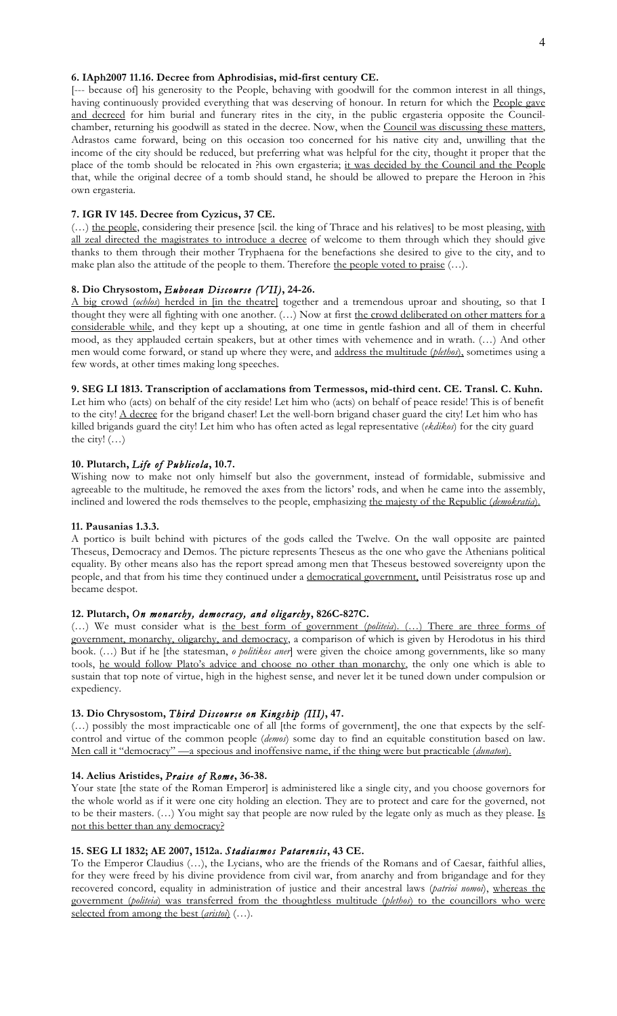#### **6. IAph2007 11.16. Decree from Aphrodisias, mid-first century CE.**

[--- because of] his generosity to the People, behaving with goodwill for the common interest in all things, having continuously provided everything that was deserving of honour. In return for which the People gave and decreed for him burial and funerary rites in the city, in the public ergasteria opposite the Councilchamber, returning his goodwill as stated in the decree. Now, when the Council was discussing these matters, Adrastos came forward, being on this occasion too concerned for his native city and, unwilling that the income of the city should be reduced, but preferring what was helpful for the city, thought it proper that the place of the tomb should be relocated in ?his own ergasteria; it was decided by the Council and the People that, while the original decree of a tomb should stand, he should be allowed to prepare the Heroon in ?his own ergasteria.

# **7. IGR IV 145. Decree from Cyzicus, 37 CE.**

(…) the people, considering their presence [scil. the king of Thrace and his relatives] to be most pleasing, with all zeal directed the magistrates to introduce a decree of welcome to them through which they should give thanks to them through their mother Tryphaena for the benefactions she desired to give to the city, and to make plan also the attitude of the people to them. Therefore the people voted to praise (...).

# **8. Dio Chrysostom,** *Euboean Discourse (VII)***, 24-26.**

A big crowd (*ochlos*) herded in [in the theatre] together and a tremendous uproar and shouting, so that I thought they were all fighting with one another. (...) Now at first the crowd deliberated on other matters for a considerable while, and they kept up a shouting, at one time in gentle fashion and all of them in cheerful mood, as they applauded certain speakers, but at other times with vehemence and in wrath. (…) And other men would come forward, or stand up where they were, and address the multitude (*plethos*), sometimes using a few words, at other times making long speeches.

## **9. SEG LI 1813. Transcription of acclamations from Termessos, mid-third cent. CE. Transl. C. Kuhn.**

Let him who (acts) on behalf of the city reside! Let him who (acts) on behalf of peace reside! This is of benefit to the city! A decree for the brigand chaser! Let the well-born brigand chaser guard the city! Let him who has killed brigands guard the city! Let him who has often acted as legal representative (*ekdikos*) for the city guard the city!  $(...)$ 

#### **10. Plutarch,** *Life of Publicola***, 10.7.**

Wishing now to make not only himself but also the government, instead of formidable, submissive and agreeable to the multitude, he removed the axes from the lictors' rods, and when he came into the assembly, inclined and lowered the rods themselves to the people, emphasizing the majesty of the Republic (*demokratia*).

## **11. Pausanias 1.3.3.**

A portico is built behind with pictures of the gods called the Twelve. On the wall opposite are painted Theseus, Democracy and Demos. The picture represents Theseus as the one who gave the Athenians political equality. By other means also has the report spread among men that Theseus bestowed sovereignty upon the people, and that from his time they continued under a democratical government, until Peisistratus rose up and became despot.

# **12. Plutarch,** *On monarchy, democracy, and oligarchy***, 826C-827C.**

(…) We must consider what is the best form of government (*politeia*). (…) There are three forms of government, monarchy, oligarchy, and democracy, a comparison of which is given by Herodotus in his third book. (…) But if he [the statesman, *o politikos aner*] were given the choice among governments, like so many tools, he would follow Plato's advice and choose no other than monarchy, the only one which is able to sustain that top note of virtue, high in the highest sense, and never let it be tuned down under compulsion or expediency.

# **13. Dio Chrysostom,** *Third Discourse on Kingship (III)***, 47.**

(…) possibly the most impracticable one of all [the forms of government], the one that expects by the selfcontrol and virtue of the common people (*demos*) some day to find an equitable constitution based on law. Men call it "democracy" —a specious and inoffensive name, if the thing were but practicable (*dunaton*).

## **14. Aelius Aristides,** *Praise of Rome***, 36-38.**

Your state [the state of the Roman Emperor] is administered like a single city, and you choose governors for the whole world as if it were one city holding an election. They are to protect and care for the governed, not to be their masters. (…) You might say that people are now ruled by the legate only as much as they please. Is not this better than any democracy?

## **15. SEG LI 1832; AE 2007, 1512a.** *Stadiasmos Patarensis***, 43 CE.**

To the Emperor Claudius (…), the Lycians, who are the friends of the Romans and of Caesar, faithful allies, for they were freed by his divine providence from civil war, from anarchy and from brigandage and for they recovered concord, equality in administration of justice and their ancestral laws (*patrioi nomoi*), whereas the government (*politeia*) was transferred from the thoughtless multitude (*plethos*) to the councillors who were selected from among the best (*aristoi*) (…).